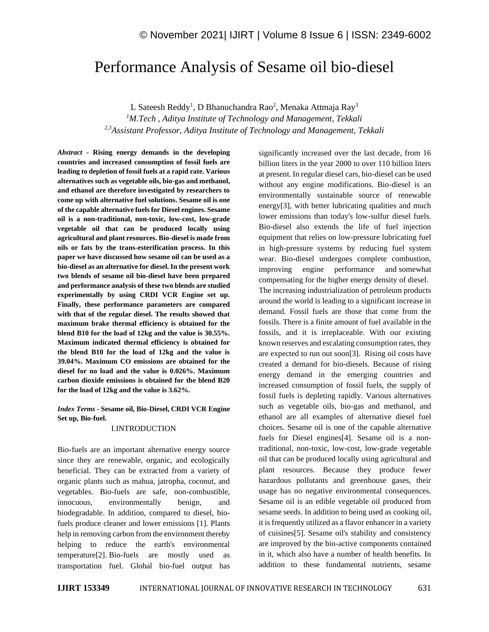# Performance Analysis of Sesame oil bio-diesel

L Sateesh Reddy<sup>1</sup>, D Bhanuchandra Rao<sup>2</sup>, Menaka Attmaja Ray<sup>3</sup>

*<sup>1</sup>M.Tech , Aditya Institute of Technology and Management, Tekkali 2,3Assistant Professor, Aditya Institute of Technology and Management, Tekkali*

*Abstract -* **Rising energy demands in the developing countries and increased consumption of fossil fuels are leading to depletion of fossil fuels at a rapid rate. Various alternatives such as vegetable oils, bio-gas and methanol, and ethanol are therefore investigated by researchers to come up with alternative fuel solutions. Sesame oil is one of the capable alternative fuels for Diesel engines. Sesame oil is a non-traditional, non-toxic, low-cost, low-grade vegetable oil that can be produced locally using agricultural and plant resources. Bio-diesel is made from oils or fats by the trans-esterification process. In this paper we have discussed how sesame oil can be used as a bio-diesel as an alternative for diesel. In the present work two blends of sesame oil bio-diesel have been prepared and performance analysis of these two blends are studied experimentally by using CRDI VCR Engine set up. Finally, these performance parameters are compared with that of the regular diesel. The results showed that maximum brake thermal efficiency is obtained for the blend B10 for the load of 12kg and the value is 30.55%. Maximum indicated thermal efficiency is obtained for the blend B10 for the load of 12kg and the value is 39.04%. Maximum CO emissions are obtained for the diesel for no load and the value is 0.026%. Maximum carbon dioxide emissions is obtained for the blend B20 for the load of 12kg and the value is 3.62%.**

*Index Terms -* **Sesame oil, Bio-Diesel, CRDI VCR Engine Set up, Bio-fuel.**

#### I.INTRODUCTION

Bio-fuels are an important alternative energy source since they are renewable, organic, and ecologically beneficial. They can be extracted from a variety of organic plants such as mahua, jatropha, coconut, and vegetables. Bio-fuels are safe, non-combustible, innocuous, environmentally benign, and biodegradable. In addition, compared to diesel, biofuels produce cleaner and lower emissions [1]. Plants help in removing carbon from the environment thereby helping to reduce the earth's environmental temperature[2]. Bio-fuels are mostly used as transportation fuel. Global bio-fuel output has significantly increased over the last decade, from 16 billion liters in the year 2000 to over 110 billion liters at present. In regular diesel cars, bio-diesel can be used without any engine modifications. Bio-diesel is an environmentally sustainable source of renewable energy[3], with better lubricating qualities and much lower emissions than today's low-sulfur diesel fuels. Bio-diesel also extends the life of fuel injection equipment that relies on low-pressure lubricating fuel in high-pressure systems by reducing fuel system wear. Bio-diesel undergoes complete combustion, improving engine performance and somewhat compensating for the higher energy density of diesel. The increasing industrialization of petroleum products around the world is leading to a significant increase in demand. Fossil fuels are those that come from the fossils. There is a finite amount of fuel available in the fossils, and it is irreplaceable. With our existing known reserves and escalating consumption rates, they are expected to run out soon[3]. Rising oil costs have created a demand for bio-diesels. Because of rising energy demand in the emerging countries and increased consumption of fossil fuels, the supply of fossil fuels is depleting rapidly. Various alternatives such as vegetable oils, bio-gas and methanol, and ethanol are all examples of alternative diesel fuel choices. Sesame oil is one of the capable alternative fuels for Diesel engines[4]. Sesame oil is a nontraditional, non-toxic, low-cost, low-grade vegetable oil that can be produced locally using agricultural and plant resources. Because they produce fewer hazardous pollutants and greenhouse gases, their usage has no negative environmental consequences. Sesame oil is an edible vegetable oil produced from sesame seeds. In addition to being used as cooking oil, it is frequently utilized as a flavor enhancer in a variety of cuisines[5]. Sesame oil's stability and consistency are improved by the bio-active components contained in it, which also have a number of health benefits. In addition to these fundamental nutrients, sesame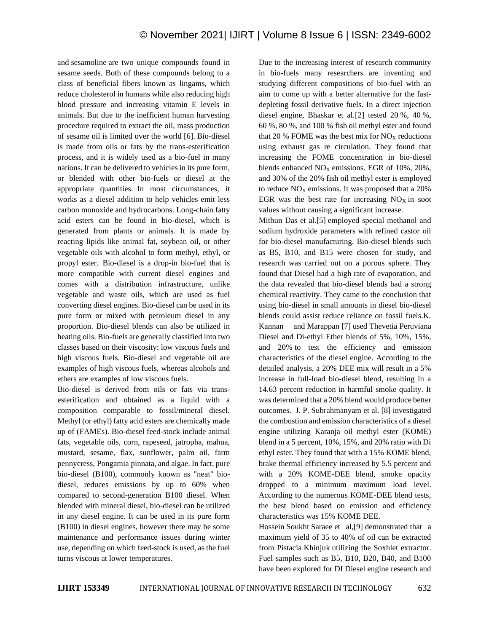and sesamoline are two unique compounds found in sesame seeds. Both of these compounds belong to a class of beneficial fibers known as lingams, which reduce cholesterol in humans while also reducing high blood pressure and increasing vitamin E levels in animals. But due to the inefficient human harvesting procedure required to extract the oil, mass production of sesame oil is limited over the world [6]. Bio-diesel is made from oils or fats by the trans-esterification process, and it is widely used as a bio-fuel in many nations. It can be delivered to vehicles in its pure form, or blended with other bio-fuels or diesel at the appropriate quantities. In most circumstances, it works as a diesel addition to help vehicles emit less carbon monoxide and hydrocarbons. Long-chain fatty acid esters can be found in bio-diesel, which is generated from plants or animals. It is made by reacting lipids like animal fat, soybean oil, or other vegetable oils with alcohol to form methyl, ethyl, or propyl ester. Bio-diesel is a drop-in bio-fuel that is more compatible with current diesel engines and comes with a distribution infrastructure, unlike vegetable and waste oils, which are used as fuel converting diesel engines. Bio-diesel can be used in its pure form or mixed with petroleum diesel in any proportion. Bio-diesel blends can also be utilized in heating oils. Bio-fuels are generally classified into two classes based on their viscosity: low viscous fuels and high viscous fuels. Bio-diesel and vegetable oil are examples of high viscous fuels, whereas alcohols and ethers are examples of low viscous fuels.

Bio-diesel is derived from oils or fats via transesterification and obtained as a liquid with a composition comparable to fossil/mineral diesel. Methyl (or ethyl) fatty acid esters are chemically made up of (FAMEs). Bio-diesel feed-stock include animal fats, vegetable oils, corn, rapeseed, jatropha, mahua, mustard, sesame, flax, sunflower, palm oil, farm pennycress, Pongamia pinnata, and algae. In fact, pure bio-diesel (B100), commonly known as "neat" biodiesel, reduces emissions by up to 60% when compared to second-generation B100 diesel. When blended with mineral diesel, bio-diesel can be utilized in any diesel engine. It can be used in its pure form (B100) in diesel engines, however there may be some maintenance and performance issues during winter use, depending on which feed-stock is used, as the fuel turns viscous at lower temperatures.

Due to the increasing interest of research community in bio-fuels many researchers are inventing and studying different compositions of bio-fuel with an aim to come up with a better alternative for the fastdepleting fossil derivative fuels. In a direct injection diesel engine, Bhaskar et al.[2] tested 20 %, 40 %, 60 %, 80 %, and 100 % fish oil methyl ester and found that 20 % FOME was the best mix for  $NO<sub>X</sub>$  reductions using exhaust gas re circulation. They found that increasing the FOME concentration in bio-diesel blends enhanced  $NO<sub>X</sub>$  emissions. EGR of 10%, 20%, and 30% of the 20% fish oil methyl ester is employed to reduce  $NO<sub>X</sub>$  emissions. It was proposed that a 20% EGR was the best rate for increasing  $NO<sub>X</sub>$  in soot values without causing a significant increase.

Mithun Das et al.[5] employed special methanol and sodium hydroxide parameters with refined castor oil for bio-diesel manufacturing. Bio-diesel blends such as B5, B10, and B15 were chosen for study, and research was carried out on a porous sphere. They found that Diesel had a high rate of evaporation, and the data revealed that bio-diesel blends had a strong chemical reactivity. They came to the conclusion that using bio-diesel in small amounts in diesel bio-diesel blends could assist reduce reliance on fossil fuels.K. Kannan and Marappan [7] used Thevetia Peruviana Diesel and Di-ethyl Ether blends of 5%, 10%, 15%, and 20% to test the efficiency and emission characteristics of the diesel engine. According to the detailed analysis, a 20% DEE mix will result in a 5% increase in full-load bio-diesel blend, resulting in a 14.63 percent reduction in harmful smoke quality. It was determined that a 20% blend would produce better outcomes. J. P. Subrahmanyam et al. [8] investigated the combustion and emission characteristics of a diesel engine utilizing Karanja oil methyl ester (KOME) blend in a 5 percent, 10%, 15%, and 20% ratio with Di ethyl ester. They found that with a 15% KOME blend, brake thermal efficiency increased by 5.5 percent and with a 20% KOME-DEE blend, smoke opacity dropped to a minimum maximum load level. According to the numerous KOME-DEE blend tests, the best blend based on emission and efficiency characteristics was 15% KOME DEE.

Hossein Soukht Saraee et al,[9] demonstrated that a maximum yield of 35 to 40% of oil can be extracted from Pistacia Khinjuk utilizing the Soxhlet extractor. Fuel samples such as B5, B10, B20, B40, and B100 have been explored for DI Diesel engine research and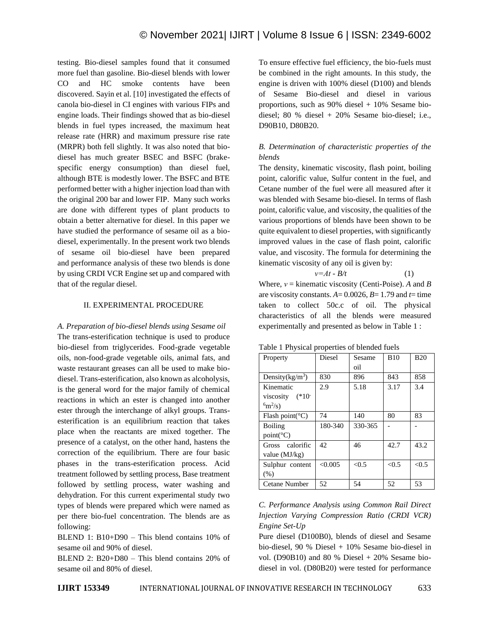testing. Bio-diesel samples found that it consumed more fuel than gasoline. Bio-diesel blends with lower CO and HC smoke contents have been discovered. Sayin et al. [10] investigated the effects of canola bio-diesel in CI engines with various FIPs and engine loads. Their findings showed that as bio-diesel blends in fuel types increased, the maximum heat release rate (HRR) and maximum pressure rise rate (MRPR) both fell slightly. It was also noted that biodiesel has much greater BSEC and BSFC (brakespecific energy consumption) than diesel fuel, although BTE is modestly lower. The BSFC and BTE performed better with a higher injection load than with the original 200 bar and lower FIP. Many such works are done with different types of plant products to obtain a better alternative for diesel. In this paper we have studied the performance of sesame oil as a biodiesel, experimentally. In the present work two blends of sesame oil bio-diesel have been prepared and performance analysis of these two blends is done by using CRDI VCR Engine set up and compared with that of the regular diesel.

## II. EXPERIMENTAL PROCEDURE

*A. Preparation of bio-diesel blends using Sesame oil* The trans-esterification technique is used to produce bio-diesel from triglycerides. Food-grade vegetable oils, non-food-grade vegetable oils, animal fats, and waste restaurant greases can all be used to make biodiesel. Trans-esterification, also known as alcoholysis, is the general word for the major family of chemical reactions in which an ester is changed into another ester through the interchange of alkyl groups. Transesterification is an equilibrium reaction that takes place when the reactants are mixed together. The presence of a catalyst, on the other hand, hastens the correction of the equilibrium. There are four basic phases in the trans-esterification process. Acid treatment followed by settling process, Base treatment followed by settling process, water washing and dehydration. For this current experimental study two types of blends were prepared which were named as per there bio-fuel concentration. The blends are as following:

BLEND 1: B10+D90 – This blend contains 10% of sesame oil and 90% of diesel.

BLEND 2: B20+D80 – This blend contains 20% of sesame oil and 80% of diesel.

To ensure effective fuel efficiency, the bio-fuels must be combined in the right amounts. In this study, the engine is driven with 100% diesel (D100) and blends of Sesame Bio-diesel and diesel in various proportions, such as 90% diesel + 10% Sesame biodiesel; 80 % diesel + 20% Sesame bio-diesel; i.e., D90B10, D80B20.

# *B. Determination of characteristic properties of the blends*

The density, kinematic viscosity, flash point, boiling point, calorific value, Sulfur content in the fuel, and Cetane number of the fuel were all measured after it was blended with Sesame bio-diesel. In terms of flash point, calorific value, and viscosity, the qualities of the various proportions of blends have been shown to be quite equivalent to diesel properties, with significantly improved values in the case of flash point, calorific value, and viscosity. The formula for determining the kinematic viscosity of any oil is given by:

 $v=At - B/t$  (1)

Where, *ν* = kinematic viscosity (Centi-Poise). *A* and *B* are viscosity constants.  $A = 0.0026$ ,  $B = 1.79$  and  $t =$  time taken to collect 50c.c of oil. The physical characteristics of all the blends were measured experimentally and presented as below in [Table 1](#page-2-0) :

| Property                                           | Diesel  | Sesame<br>oil | <b>B10</b> | <b>B20</b> |
|----------------------------------------------------|---------|---------------|------------|------------|
| Density $(kg/m^3)$                                 | 830     | 896           | 843        | 858        |
| Kinematic<br>viscosity $(*10^-$<br>$^{6}m^{2}/s$ ) | 2.9     | 5.18          | 3.17       | 3.4        |
| Flash point( ${}^{\circ}$ C)                       | 74      | 140           | 80         | 83         |
| <b>Boiling</b><br>$point(^{\circ}C)$               | 180-340 | 330-365       |            |            |
| Gross calorific<br>value $(MJ/kg)$                 | 42      | 46            | 42.7       | 43.2       |
| Sulphur content<br>(% )                            | < 0.005 | < 0.5         | < 0.5      | < 0.5      |
| Cetane Number                                      | 52      | 54            | 52         | 53         |

<span id="page-2-0"></span>Table 1 Physical properties of blended fuels

*C. Performance Analysis using Common Rail Direct Injection Varying Compression Ratio (CRDI VCR) Engine Set-Up*

Pure diesel (D100B0), blends of diesel and Sesame bio-diesel, 90 % Diesel + 10% Sesame bio-diesel in vol. (D $90B10$ ) and 80 % Diesel + 20% Sesame biodiesel in vol. (D80B20) were tested for performance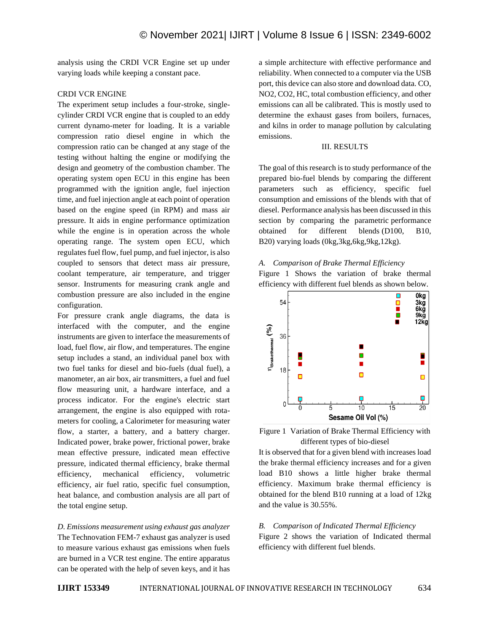analysis using the CRDI VCR Engine set up under varying loads while keeping a constant pace.

# CRDI VCR ENGINE

The experiment setup includes a four-stroke, singlecylinder CRDI VCR engine that is coupled to an eddy current dynamo-meter for loading. It is a variable compression ratio diesel engine in which the compression ratio can be changed at any stage of the testing without halting the engine or modifying the design and geometry of the combustion chamber. The operating system open ECU in this engine has been programmed with the ignition angle, fuel injection time, and fuel injection angle at each point of operation based on the engine speed (in RPM) and mass air pressure. It aids in engine performance optimization while the engine is in operation across the whole operating range. The system open ECU, which regulates fuel flow, fuel pump, and fuel injector, is also coupled to sensors that detect mass air pressure, coolant temperature, air temperature, and trigger sensor. Instruments for measuring crank angle and combustion pressure are also included in the engine configuration.

For pressure crank angle diagrams, the data is interfaced with the computer, and the engine instruments are given to interface the measurements of load, fuel flow, air flow, and temperatures. The engine setup includes a stand, an individual panel box with two fuel tanks for diesel and bio-fuels (dual fuel), a manometer, an air box, air transmitters, a fuel and fuel flow measuring unit, a hardware interface, and a process indicator. For the engine's electric start arrangement, the engine is also equipped with rotameters for cooling, a Calorimeter for measuring water flow, a starter, a battery, and a battery charger. Indicated power, brake power, frictional power, brake mean effective pressure, indicated mean effective pressure, indicated thermal efficiency, brake thermal efficiency, mechanical efficiency, volumetric efficiency, air fuel ratio, specific fuel consumption, heat balance, and combustion analysis are all part of the total engine setup.

*D. Emissions measurement using exhaust gas analyzer* The Technovation FEM-7 exhaust gas analyzer is used to measure various exhaust gas emissions when fuels are burned in a VCR test engine. The entire apparatus can be operated with the help of seven keys, and it has a simple architecture with effective performance and reliability. When connected to a computer via the USB port, this device can also store and download data. CO, NO2, CO2, HC, total combustion efficiency, and other emissions can all be calibrated. This is mostly used to determine the exhaust gases from boilers, furnaces, and kilns in order to manage pollution by calculating emissions.

#### III. RESULTS

The goal of this research is to study performance of the prepared bio-fuel blends by comparing the different parameters such as efficiency, specific fuel consumption and emissions of the blends with that of diesel. Performance analysis has been discussed in this section by comparing the parametric performance obtained for different blends (D100, B10, B20) varying loads (0kg,3kg,6kg,9kg,12kg).

*A. Comparison of Brake Thermal Efficiency* [Figure 1](#page-3-0) Shows the variation of brake thermal efficiency with different fuel blends as shown below.



<span id="page-3-0"></span>Figure 1 Variation of Brake Thermal Efficiency with different types of bio-diesel

It is observed that for a given blend with increases load the brake thermal efficiency increases and for a given load B10 shows a little higher brake thermal efficiency. Maximum brake thermal efficiency is obtained for the blend B10 running at a load of 12kg and the value is 30.55%.

#### *B. Comparison of Indicated Thermal Efficiency*

[Figure 2](#page-4-0) shows the variation of Indicated thermal efficiency with different fuel blends.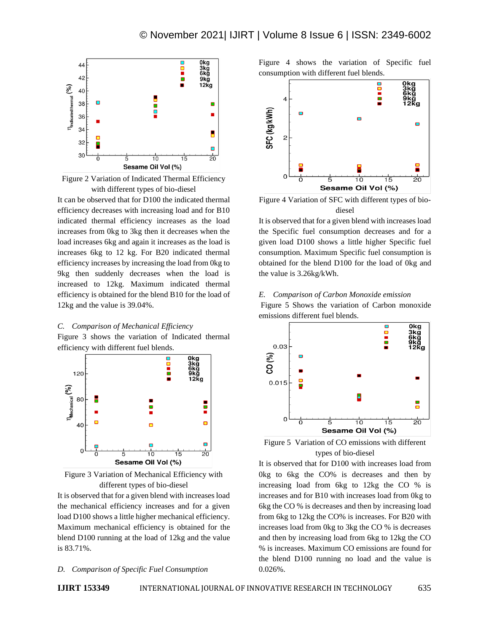

<span id="page-4-0"></span>Figure 2 Variation of Indicated Thermal Efficiency with different types of bio-diesel

It can be observed that for D100 the indicated thermal efficiency decreases with increasing load and for B10 indicated thermal efficiency increases as the load increases from 0kg to 3kg then it decreases when the load increases 6kg and again it increases as the load is increases 6kg to 12 kg. For B20 indicated thermal efficiency increases by increasing the load from 0kg to 9kg then suddenly decreases when the load is increased to 12kg. Maximum indicated thermal efficiency is obtained for the blend B10 for the load of 12kg and the value is 39.04%.

*C. Comparison of Mechanical Efficiency* [Figure 3](#page-4-1) shows the variation of Indicated thermal efficiency with different fuel blends.



<span id="page-4-1"></span>Figure 3 Variation of Mechanical Efficiency with different types of bio-diesel

It is observed that for a given blend with increases load the mechanical efficiency increases and for a given load D100 shows a little higher mechanical efficiency. Maximum mechanical efficiency is obtained for the blend D100 running at the load of 12kg and the value is 83.71%.

#### *D. Comparison of Specific Fuel Consumption*

[Figure 4](#page-4-2) shows the variation of Specific fuel consumption with different fuel blends.



<span id="page-4-2"></span>Figure 4 Variation of SFC with different types of biodiesel

It is observed that for a given blend with increases load the Specific fuel consumption decreases and for a given load D100 shows a little higher Specific fuel consumption. Maximum Specific fuel consumption is obtained for the blend D100 for the load of 0kg and the value is 3.26kg/kWh.

# *E. Comparison of Carbon Monoxide emission*

[Figure 5](#page-4-3) Shows the variation of Carbon monoxide emissions different fuel blends.



<span id="page-4-3"></span>

It is observed that for D100 with increases load from 0kg to 6kg the CO% is decreases and then by increasing load from 6kg to 12kg the CO % is increases and for B10 with increases load from 0kg to 6kg the CO % is decreases and then by increasing load from 6kg to 12kg the CO% is increases. For B20 with increases load from 0kg to 3kg the CO % is decreases and then by increasing load from 6kg to 12kg the CO % is increases. Maximum CO emissions are found for the blend D100 running no load and the value is 0.026%.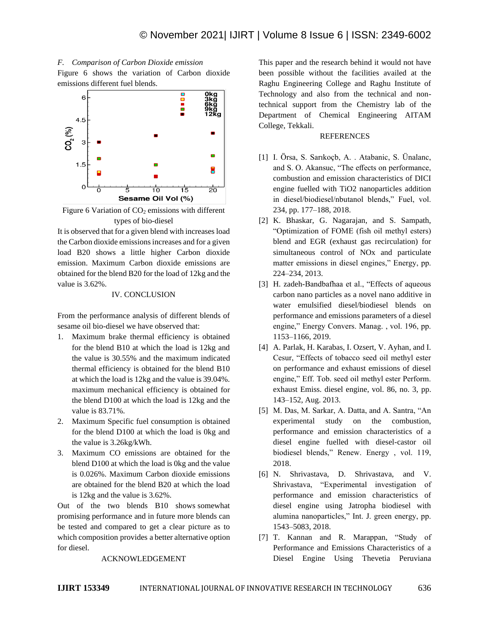



<span id="page-5-0"></span>Figure 6 Variation of  $CO<sub>2</sub>$  emissions with different types of bio-diesel

It is observed that for a given blend with increases load the Carbon dioxide emissions increases and for a given load B20 shows a little higher Carbon dioxide emission. Maximum Carbon dioxide emissions are obtained for the blend B20 for the load of 12kg and the value is 3.62%.

## IV. CONCLUSION

From the performance analysis of different blends of sesame oil bio-diesel we have observed that:

- 1. Maximum brake thermal efficiency is obtained for the blend B10 at which the load is 12kg and the value is 30.55% and the maximum indicated thermal efficiency is obtained for the blend B10 at which the load is 12kg and the value is 39.04%. maximum mechanical efficiency is obtained for the blend D100 at which the load is 12kg and the value is 83.71%.
- 2. Maximum Specific fuel consumption is obtained for the blend D100 at which the load is 0kg and the value is 3.26kg/kWh.
- 3. Maximum CO emissions are obtained for the blend D100 at which the load is 0kg and the value is 0.026%. Maximum Carbon dioxide emissions are obtained for the blend B20 at which the load is 12kg and the value is 3.62%.

Out of the two blends B10 shows somewhat promising performance and in future more blends can be tested and compared to get a clear picture as to which composition provides a better alternative option for diesel.

#### ACKNOWLEDGEMENT

This paper and the research behind it would not have been possible without the facilities availed at the Raghu Engineering College and Raghu Institute of Technology and also from the technical and nontechnical support from the Chemistry lab of the Department of Chemical Engineering AITAM College, Tekkali.

#### REFERENCES

- [1] I. Örsa, S. Sarıkoçb, A. . Atabanic, S. Ünalanc, and S. O. Akansuc, "The effects on performance, combustion and emission characteristics of DICI engine fuelled with TiO2 nanoparticles addition in diesel/biodiesel/nbutanol blends," Fuel, vol. 234, pp. 177–188, 2018.
- [2] K. Bhaskar, G. Nagarajan, and S. Sampath, "Optimization of FOME (fish oil methyl esters) blend and EGR (exhaust gas recirculation) for simultaneous control of NOx and particulate matter emissions in diesel engines," Energy, pp. 224–234, 2013.
- [3] H. zadeh-Bandbafhaa et al., "Effects of aqueous carbon nano particles as a novel nano additive in water emulsified diesel/biodiesel blends on performance and emissions parameters of a diesel engine," Energy Convers. Manag. , vol. 196, pp. 1153–1166, 2019.
- [4] A. Parlak, H. Karabas, I. Ozsert, V. Ayhan, and I. Cesur, "Effects of tobacco seed oil methyl ester on performance and exhaust emissions of diesel engine," Eff. Tob. seed oil methyl ester Perform. exhaust Emiss. diesel engine, vol. 86, no. 3, pp. 143–152, Aug. 2013.
- [5] M. Das, M. Sarkar, A. Datta, and A. Santra, "An experimental study on the combustion, performance and emission characteristics of a diesel engine fuelled with diesel-castor oil biodiesel blends," Renew. Energy , vol. 119, 2018.
- [6] N. Shrivastava, D. Shrivastava, and V. Shrivastava, "Experimental investigation of performance and emission characteristics of diesel engine using Jatropha biodiesel with alumina nanoparticles," Int. J. green energy, pp. 1543–5083, 2018.
- [7] T. Kannan and R. Marappan, "Study of Performance and Emissions Characteristics of a Diesel Engine Using Thevetia Peruviana